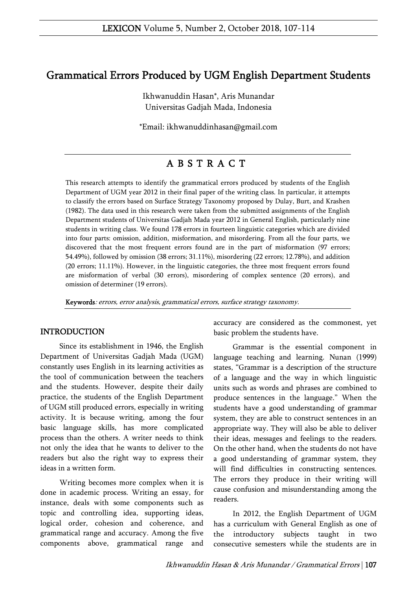# Grammatical Errors Produced by UGM English Department Students

Ikhwanuddin Hasan\*, Aris Munandar Universitas Gadjah Mada, Indonesia

\*Email: ikhwanuddinhasan@gmail.com

# A B S T R A C T

This research attempts to identify the grammatical errors produced by students of the English Department of UGM year 2012 in their final paper of the writing class. In particular, it attempts to classify the errors based on Surface Strategy Taxonomy proposed by Dulay, Burt, and Krashen (1982). The data used in this research were taken from the submitted assignments of the English Department students of Universitas Gadjah Mada year 2012 in General English, particularly nine students in writing class. We found 178 errors in fourteen linguistic categories which are divided into four parts: omission, addition, misformation, and misordering. From all the four parts, we discovered that the most frequent errors found are in the part of misformation (97 errors; 54.49%), followed by omission (38 errors; 31.11%), misordering (22 errors; 12.78%), and addition (20 errors; 11.11%). However, in the linguistic categories, the three most frequent errors found are misformation of verbal (30 errors), misordering of complex sentence (20 errors), and omission of determiner (19 errors).

Keywords: errors, error analysis, grammatical errors, surface strategy taxonomy.

#### INTRODUCTION

Since its establishment in 1946, the English Department of Universitas Gadjah Mada (UGM) constantly uses English in its learning activities as the tool of communication between the teachers and the students. However, despite their daily practice, the students of the English Department of UGM still produced errors, especially in writing activity. It is because writing, among the four basic language skills, has more complicated process than the others. A writer needs to think not only the idea that he wants to deliver to the readers but also the right way to express their ideas in a written form.

Writing becomes more complex when it is done in academic process. Writing an essay, for instance, deals with some components such as topic and controlling idea, supporting ideas, logical order, cohesion and coherence, and grammatical range and accuracy. Among the five components above, grammatical range and

accuracy are considered as the commonest, yet basic problem the students have.

Grammar is the essential component in language teaching and learning. Nunan (1999) states, "Grammar is a description of the structure of a language and the way in which linguistic units such as words and phrases are combined to produce sentences in the language." When the students have a good understanding of grammar system, they are able to construct sentences in an appropriate way. They will also be able to deliver their ideas, messages and feelings to the readers. On the other hand, when the students do not have a good understanding of grammar system, they will find difficulties in constructing sentences. The errors they produce in their writing will cause confusion and misunderstanding among the readers.

In 2012, the English Department of UGM has a curriculum with General English as one of the introductory subjects taught in two consecutive semesters while the students are in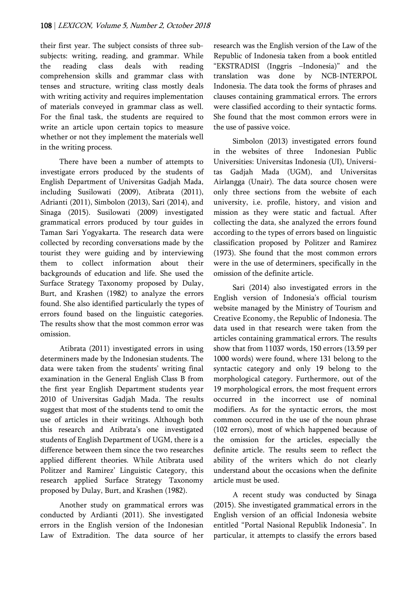their first year. The subject consists of three subsubjects: writing, reading, and grammar. While the reading class deals with reading comprehension skills and grammar class with tenses and structure, writing class mostly deals with writing activity and requires implementation of materials conveyed in grammar class as well. For the final task, the students are required to write an article upon certain topics to measure whether or not they implement the materials well in the writing process.

There have been a number of attempts to investigate errors produced by the students of English Department of Universitas Gadjah Mada, including Susilowati (2009), Atibrata (2011), Adrianti (2011), Simbolon (2013), Sari (2014), and Sinaga (2015). Susilowati (2009) investigated grammatical errors produced by tour guides in Taman Sari Yogyakarta. The research data were collected by recording conversations made by the tourist they were guiding and by interviewing them to collect information about their backgrounds of education and life. She used the Surface Strategy Taxonomy proposed by Dulay, Burt, and Krashen (1982) to analyze the errors found. She also identified particularly the types of errors found based on the linguistic categories. The results show that the most common error was omission.

Atibrata (2011) investigated errors in using determiners made by the Indonesian students. The data were taken from the students' writing final examination in the General English Class B from the first year English Department students year 2010 of Universitas Gadjah Mada. The results suggest that most of the students tend to omit the use of articles in their writings. Although both this research and Atibrata's one investigated students of English Department of UGM, there is a difference between them since the two researches applied different theories. While Atibrata used Politzer and Ramirez' Linguistic Category, this research applied Surface Strategy Taxonomy proposed by Dulay, Burt, and Krashen (1982).

Another study on grammatical errors was conducted by Ardianti (2011). She investigated errors in the English version of the Indonesian Law of Extradition. The data source of her

research was the English version of the Law of the Republic of Indonesia taken from a book entitled "EKSTRADISI (Inggris –Indonesia)" and the translation was done by NCB-INTERPOL Indonesia. The data took the forms of phrases and clauses containing grammatical errors. The errors were classified according to their syntactic forms. She found that the most common errors were in the use of passive voice.

Simbolon (2013) investigated errors found in the websites of three Indonesian Public Universities: Universitas Indonesia (UI), Universitas Gadjah Mada (UGM), and Universitas Airlangga (Unair). The data source chosen were only three sections from the website of each university, i.e. profile, history, and vision and mission as they were static and factual. After collecting the data, she analyzed the errors found according to the types of errors based on linguistic classification proposed by Politzer and Ramirez (1973). She found that the most common errors were in the use of determiners, specifically in the omission of the definite article.

Sari (2014) also investigated errors in the English version of Indonesia's official tourism website managed by the Ministry of Tourism and Creative Economy, the Republic of Indonesia. The data used in that research were taken from the articles containing grammatical errors. The results show that from 11037 words, 150 errors (13.59 per 1000 words) were found, where 131 belong to the syntactic category and only 19 belong to the morphological category. Furthermore, out of the 19 morphological errors, the most frequent errors occurred in the incorrect use of nominal modifiers. As for the syntactic errors, the most common occurred in the use of the noun phrase (102 errors), most of which happened because of the omission for the articles, especially the definite article. The results seem to reflect the ability of the writers which do not clearly understand about the occasions when the definite article must be used.

A recent study was conducted by Sinaga (2015). She investigated grammatical errors in the English version of an official Indonesia website entitled "Portal Nasional Republik Indonesia". In particular, it attempts to classify the errors based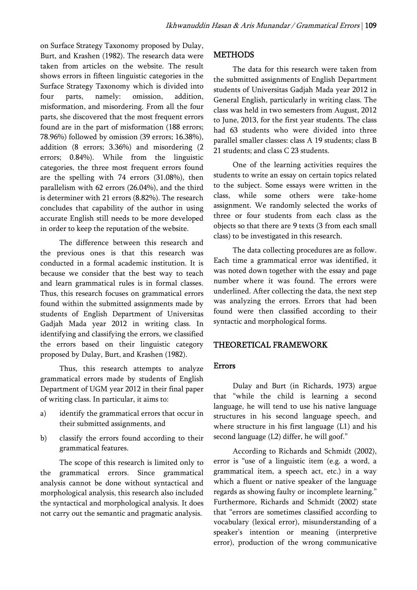on Surface Strategy Taxonomy proposed by Dulay, Burt, and Krashen (1982). The research data were taken from articles on the website. The result shows errors in fifteen linguistic categories in the Surface Strategy Taxonomy which is divided into four parts, namely: omission, addition, misformation, and misordering. From all the four parts, she discovered that the most frequent errors found are in the part of misformation (188 errors; 78.96%) followed by omission (39 errors; 16.38%), addition (8 errors; 3.36%) and misordering (2 errors; 0.84%). While from the linguistic categories, the three most frequent errors found are the spelling with 74 errors (31.08%), then parallelism with 62 errors (26.04%), and the third is determiner with 21 errors (8.82%). The research concludes that capability of the author in using accurate English still needs to be more developed in order to keep the reputation of the website.

The difference between this research and the previous ones is that this research was conducted in a formal academic institution. It is because we consider that the best way to teach and learn grammatical rules is in formal classes. Thus, this research focuses on grammatical errors found within the submitted assignments made by students of English Department of Universitas Gadjah Mada year 2012 in writing class. In identifying and classifying the errors, we classified the errors based on their linguistic category proposed by Dulay, Burt, and Krashen (1982).

Thus, this research attempts to analyze grammatical errors made by students of English Department of UGM year 2012 in their final paper of writing class. In particular, it aims to:

- a) identify the grammatical errors that occur in their submitted assignments, and
- b) classify the errors found according to their grammatical features.

The scope of this research is limited only to the grammatical errors. Since grammatical analysis cannot be done without syntactical and morphological analysis, this research also included the syntactical and morphological analysis. It does not carry out the semantic and pragmatic analysis.

#### METHODS

The data for this research were taken from the submitted assignments of English Department students of Universitas Gadjah Mada year 2012 in General English, particularly in writing class. The class was held in two semesters from August, 2012 to June, 2013, for the first year students. The class had 63 students who were divided into three parallel smaller classes: class A 19 students; class B 21 students; and class C 23 students.

One of the learning activities requires the students to write an essay on certain topics related to the subject. Some essays were written in the class, while some others were take-home assignment. We randomly selected the works of three or four students from each class as the objects so that there are 9 texts (3 from each small class) to be investigated in this research.

The data collecting procedures are as follow. Each time a grammatical error was identified, it was noted down together with the essay and page number where it was found. The errors were underlined. After collecting the data, the next step was analyzing the errors. Errors that had been found were then classified according to their syntactic and morphological forms.

#### THEORETICAL FRAMEWORK

#### Errors

Dulay and Burt (in Richards, 1973) argue that "while the child is learning a second language, he will tend to use his native language structures in his second language speech, and where structure in his first language (L1) and his second language (L2) differ, he will goof."

According to Richards and Schmidt (2002), error is "use of a linguistic item (e.g. a word, a grammatical item, a speech act, etc.) in a way which a fluent or native speaker of the language regards as showing faulty or incomplete learning." Furthermore, Richards and Schmidt (2002) state that "errors are sometimes classified according to vocabulary (lexical error), misunderstanding of a speaker's intention or meaning (interpretive error), production of the wrong communicative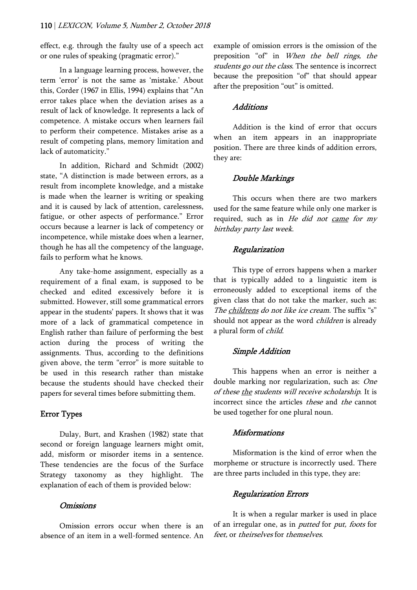effect, e.g. through the faulty use of a speech act or one rules of speaking (pragmatic error)."

In a language learning process, however, the term 'error' is not the same as 'mistake.' About this, Corder (1967 in Ellis, 1994) explains that "An error takes place when the deviation arises as a result of lack of knowledge. It represents a lack of competence. A mistake occurs when learners fail to perform their competence. Mistakes arise as a result of competing plans, memory limitation and lack of automaticity."

In addition, Richard and Schmidt (2002) state, "A distinction is made between errors, as a result from incomplete knowledge, and a mistake is made when the learner is writing or speaking and it is caused by lack of attention, carelessness, fatigue, or other aspects of performance." Error occurs because a learner is lack of competency or incompetence, while mistake does when a learner, though he has all the competency of the language, fails to perform what he knows.

Any take-home assignment, especially as a requirement of a final exam, is supposed to be checked and edited excessively before it is submitted. However, still some grammatical errors appear in the students' papers. It shows that it was more of a lack of grammatical competence in English rather than failure of performing the best action during the process of writing the assignments. Thus, according to the definitions given above, the term "error" is more suitable to be used in this research rather than mistake because the students should have checked their papers for several times before submitting them.

# Error Types

Dulay, Burt, and Krashen (1982) state that second or foreign language learners might omit, add, misform or misorder items in a sentence. These tendencies are the focus of the Surface Strategy taxonomy as they highlight. The explanation of each of them is provided below:

## Omissions

Omission errors occur when there is an absence of an item in a well-formed sentence. An example of omission errors is the omission of the preposition "of" in When the bell rings, the students go out the class. The sentence is incorrect because the preposition "of" that should appear after the preposition "out" is omitted.

## **Additions**

Addition is the kind of error that occurs when an item appears in an inappropriate position. There are three kinds of addition errors, they are:

## Double Markings

This occurs when there are two markers used for the same feature while only one marker is required, such as in He did not came for my birthday party last week.

## Regularization

This type of errors happens when a marker that is typically added to a linguistic item is erroneously added to exceptional items of the given class that do not take the marker, such as: The childrens do not like ice cream. The suffix "s" should not appear as the word *children* is already a plural form of child.

## Simple Addition

This happens when an error is neither a double marking nor regularization, such as: One of these the students will receive scholarship. It is incorrect since the articles these and the cannot be used together for one plural noun.

#### Misformations

Misformation is the kind of error when the morpheme or structure is incorrectly used. There are three parts included in this type, they are:

#### Regularization Errors

It is when a regular marker is used in place of an irregular one, as in *putted* for *put, foots* for feet, or theirselves for themselves.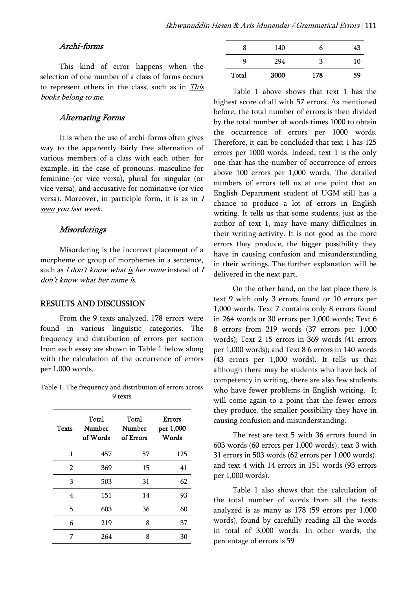#### Archi-forms

This kind of error happens when the selection of one number of a class of forms occurs to represent others in the class, such as in This books belong to me.

#### Alternating Forms

It is when the use of archi-forms often gives way to the apparently fairly free alternation of various members of a class with each other, for example, in the case of pronouns, masculine for feminine (or vice versa), plural for singular (or vice versa), and accusative for nominative (or vice versa). Moreover, in participle form, it is as in  $I$ seen you last week.

#### **Misorderings**

Misordering is the incorrect placement of a morpheme or group of morphemes in a sentence, such as  $I$  don't know what is her name instead of  $I$ don't know what her name is.

#### RESULTS AND DISCUSSION

From the 9 texts analyzed, 178 errors were found in various linguistic categories. The frequency and distribution of errors per section from each essay are shown in Table 1 below along with the calculation of the occurrence of errors per 1,000 words.

Table 1. The frequency and distribution of errors across 9 texts

| <b>Texts</b>   | Total<br>Number<br>of Words | Total<br>Number<br>of Errors | <b>Errors</b><br>per 1,000<br>Words |
|----------------|-----------------------------|------------------------------|-------------------------------------|
| 1              | 457                         | 57                           | 125                                 |
| $\overline{2}$ | 369                         | 15                           | 41                                  |
| 3              | 503                         | 31                           | 62                                  |
| 4              | 151                         | 14                           | 93                                  |
| 5              | 603                         | 36                           | 60                                  |
| 6              | 219                         | 8                            | 37                                  |
| 7              | 264                         | 8                            | 30                                  |

| 8     | 140  | h   | 43 |
|-------|------|-----|----|
| q     | 294  | ٩   | 10 |
| Total | 3000 | 178 | 59 |

Table 1 above shows that text 1 has the highest score of all with 57 errors. As mentioned before, the total number of errors is then divided by the total number of words times 1000 to obtain the occurrence of errors per 1000 words. Therefore, it can be concluded that text 1 has 125 errors per 1000 words. Indeed, text 1 is the only one that has the number of occurrence of errors above 100 errors per 1,000 words. The detailed numbers of errors tell us at one point that an English Department student of UGM still has a chance to produce a lot of errors in English writing. It tells us that some students, just as the author of text 1, may have many difficulties in their writing activity. It is not good as the more errors they produce, the bigger possibility they have in causing confusion and misunderstanding in their writings. The further explanation will be delivered in the next part.

On the other hand, on the last place there is text 9 with only 3 errors found or 10 errors per 1,000 words. Text 7 contains only 8 errors found in 264 words or 30 errors per 1,000 words; Text 6 8 errors from 219 words (37 errors per 1,000 words); Text 2 15 errors in 369 words (41 errors per 1,000 words); and Text 8 6 errors in 140 words (43 errors per 1,000 words). It tells us that although there may be students who have lack of competency in writing, there are also few students who have fewer problems in English writing. It will come again to a point that the fewer errors they produce, the smaller possibility they have in causing confusion and misunderstanding.

The rest are text 5 with 36 errors found in 603 words (60 errors per 1,000 words), text 3 with 31 errors in 503 words (62 errors per 1,000 words), and text 4 with 14 errors in 151 words (93 errors per 1,000 words).

Table 1 also shows that the calculation of the total number of words from all the texts analyzed is as many as 178 (59 errors per 1,000 words), found by carefully reading all the words in total of 3,000 words. In other words, the percentage of errors is 59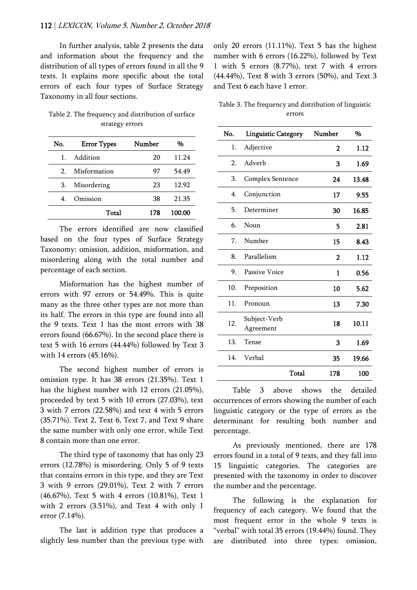In further analysis, table 2 presents the data and information about the frequency and the distribution of all types of errors found in all the 9 texts. It explains more specific about the total errors of each four types of Surface Strategy Taxonomy in all four sections.

| Table 2. The frequency and distribution of surface |  |
|----------------------------------------------------|--|
| strategy errors                                    |  |

| No. | <b>Error Types</b> | Number | %      |
|-----|--------------------|--------|--------|
| 1.  | Addition           | 20     | 11.24  |
| 2   | Misformation       | 97     | 54.49  |
| 3.  | Misordering        | 23     | 12.92  |
| 4   | Omission           | 38     | 21.35  |
|     | Total              | 178    | 100.00 |

The errors identified are now classified based on the four types of Surface Strategy Taxonomy: omission, addition, misformation, and misordering along with the total number and percentage of each section.

Misformation has the highest number of errors with 97 errors or 54.49%. This is quite many as the three other types are not more than its half. The errors in this type are found into all the 9 texts. Text 1 has the most errors with 38 errors found (66.67%). In the second place there is text 5 with 16 errors (44.44%) followed by Text 3 with 14 errors (45.16%).

The second highest number of errors is omission type. It has 38 errors (21.35%). Text 1 has the highest number with 12 errors (21.05%), proceeded by text 5 with 10 errors (27.03%), text 3 with 7 errors (22.58%) and text 4 with 5 errors (35.71%). Text 2, Text 6, Text 7, and Text 9 share the same number with only one error, while Text 8 contain more than one error.

The third type of taxonomy that has only 23 errors (12.78%) is misordering. Only 5 of 9 texts that contains errors in this type, and they are Text 3 with 9 errors (29.01%), Text 2 with 7 errors (46.67%), Text 5 with 4 errors (10.81%), Text 1 with 2 errors (3.51%), and Text 4 with only 1 error (7.14%).

The last is addition type that produces a slightly less number than the previous type with only 20 errors (11.11%). Text 5 has the highest number with 6 errors (16.22%), followed by Text 1 with 5 errors (8.77%), text 7 with 4 errors (44.44%), Text 8 with 3 errors (50%), and Text 3 and Text 6 each have 1 error.

|  | Table 3. The frequency and distribution of linguistic |  |
|--|-------------------------------------------------------|--|
|  | errors                                                |  |

| No. | <b>Linguistic Category</b> | Number      | %     |
|-----|----------------------------|-------------|-------|
| 1.  | Adjective                  | $\mathbf 2$ | 1.12  |
| 2.  | Adverb                     | 3           | 1.69  |
| 3.  | Complex Sentence           | 24          | 13.48 |
| 4.  | Conjunction                | 17          | 9.55  |
| 5.  | Determiner                 | 30          | 16.85 |
| 6.  | Noun                       | 5           | 2.81  |
| 7.  | Number                     | 15          | 8.43  |
| 8.  | Parallelism                | 2           | 1.12  |
| 9.  | Passive Voice              | 1           | 0.56  |
| 10. | Preposition                | 10          | 5.62  |
| 11. | Pronoun                    | 13          | 7.30  |
| 12. | Subject-Verb<br>Agreement  | 18          | 10.11 |
| 13. | Tense                      | 3           | 1.69  |
| 14. | Verbal                     | 35          | 19.66 |
|     | Total                      | 178         | 100   |

Table 3 above shows the detailed occurrences of errors showing the number of each linguistic category or the type of errors as the determinant for resulting both number and percentage.

As previously mentioned, there are 178 errors found in a total of 9 texts, and they fall into 15 linguistic categories. The categories are presented with the taxonomy in order to discover the number and the percentage.

The following is the explanation for frequency of each category. We found that the most frequent error in the whole 9 texts is "verbal" with total 35 errors (19.44%) found. They are distributed into three types: omission,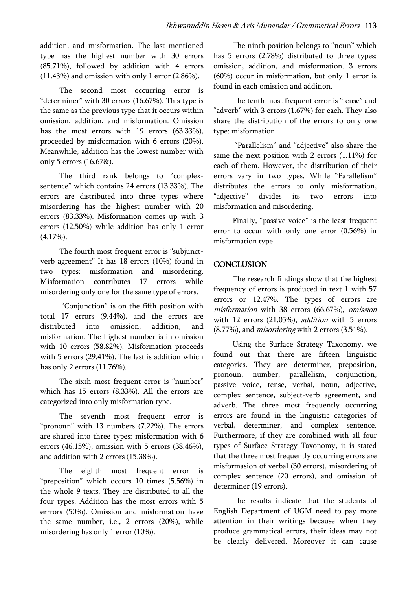addition, and misformation. The last mentioned type has the highest number with 30 errors (85.71%), followed by addition with 4 errors (11.43%) and omission with only 1 error (2.86%).

The second most occurring error is "determiner" with 30 errors (16.67%). This type is the same as the previous type that it occurs within omission, addition, and misformation. Omission has the most errors with 19 errors (63.33%), proceeded by misformation with 6 errors (20%). Meanwhile, addition has the lowest number with only 5 errors (16.67&).

The third rank belongs to "complexsentence" which contains 24 errors (13.33%). The errors are distributed into three types where misordering has the highest number with 20 errors (83.33%). Misformation comes up with 3 errors (12.50%) while addition has only 1 error (4.17%).

The fourth most frequent error is "subjunctverb agreement" It has 18 errors (10%) found in two types: misformation and misordering. Misformation contributes 17 errors while misordering only one for the same type of errors.

 "Conjunction" is on the fifth position with total 17 errors (9.44%), and the errors are distributed into omission, addition, and misformation. The highest number is in omission with 10 errors (58.82%). Misformation proceeds with 5 errors (29.41%). The last is addition which has only 2 errors (11.76%).

The sixth most frequent error is "number" which has 15 errors (8.33%). All the errors are categorized into only misformation type.

The seventh most frequent error is "pronoun" with 13 numbers (7.22%). The errors are shared into three types: misformation with 6 errors (46.15%), omission with 5 errors (38.46%), and addition with 2 errors (15.38%).

The eighth most frequent error is "preposition" which occurs 10 times (5.56%) in the whole 9 texts. They are distributed to all the four types. Addition has the most errors with 5 errrors (50%). Omission and misformation have the same number, i.e., 2 errors (20%), while misordering has only 1 error (10%).

The ninth position belongs to "noun" which has 5 errors (2.78%) distributed to three types: omission, addition, and misformation. 3 errors (60%) occur in misformation, but only 1 error is found in each omission and addition.

The tenth most frequent error is "tense" and "adverb" with 3 errors (1.67%) for each. They also share the distribution of the errors to only one type: misformation.

 "Parallelism" and "adjective" also share the same the next position with 2 errors (1.11%) for each of them. However, the distribution of their errors vary in two types. While "Parallelism" distributes the errors to only misformation, "adjective" divides its two errors into misformation and misordering.

Finally, "passive voice" is the least frequent error to occur with only one error (0.56%) in misformation type.

## **CONCLUSION**

The research findings show that the highest frequency of errors is produced in text 1 with 57 errors or 12.47%. The types of errors are misformation with 38 errors (66.67%), omission with 12 errors (21.05%), *addition* with 5 errors (8.77%), and misordering with 2 errors (3.51%).

Using the Surface Strategy Taxonomy, we found out that there are fifteen linguistic categories. They are determiner, preposition, pronoun, number, parallelism, conjunction, passive voice, tense, verbal, noun, adjective, complex sentence, subject-verb agreement, and adverb. The three most frequently occurring errors are found in the linguistic categories of verbal, determiner, and complex sentence. Furthermore, if they are combined with all four types of Surface Strategy Taxonomy, it is stated that the three most frequently occurring errors are misformasion of verbal (30 errors), misordering of complex sentence (20 errors), and omission of determiner (19 errors).

The results indicate that the students of English Department of UGM need to pay more attention in their writings because when they produce grammatical errors, their ideas may not be clearly delivered. Moreover it can cause